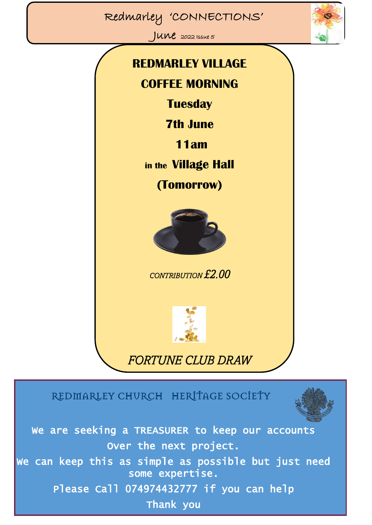## Redmarley 'CONNECTIONS'

 $JUNe$  2022 Issue 5



# **REDMARLEY VILLAGE COFFEE MORNING Tuesday 7th June 11am in the Village Hall (Tomorrow)** *CONTRIBUTION £2.00*



## *FORTUNE CLUB DRAW*

## REDMARLEY CHURCH HERITAGE SOCIETY



We are seeking a TREASURER to keep our accounts Over the next project.

We can keep this as simple as possible but just need some expertise.

Please Call 074974432777 if you can help

Thank you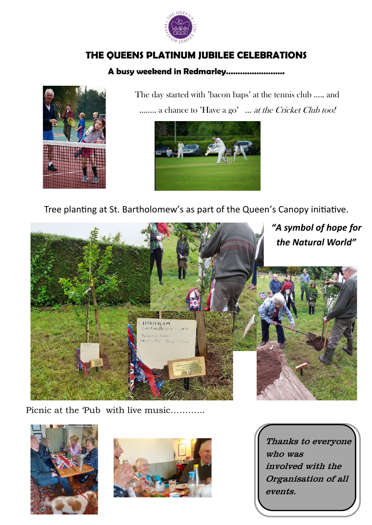

#### **THE QUEENS PLATINUM JUBILEE CELEBRATIONS**

#### **A busy weekend in Redmarley…………………….**



 The day started with 'bacon baps' at the tennis club ….. and …….. a chance to 'Have a go' … at the Cricket Club too!



Tree planting at St. Bartholomew's as part of the Queen's Canopy initiative.



Picnic at the 'Pub with live music………...





Thanks to everyone who was involved with the Organisation of all events.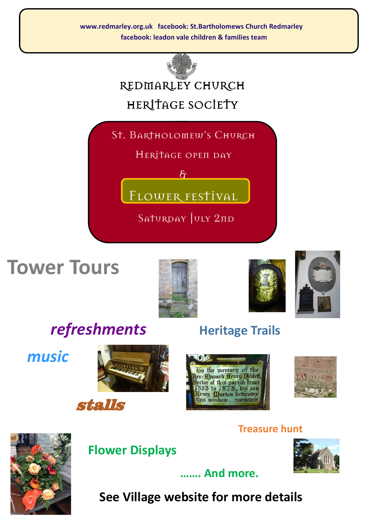**www.redmarley.org.uk facebook: St.Bartholomews Church Redmarley facebook: leadon vale children & families team**



## REDMARLEY CHURCH HERITAGE SOCIETY

St. Bartholomew's Church

HERITAGE OPEN DAY

 $\mathcal{E}$ 

FLOWER FESTIVAL

SATURDAY JULY 2<sub>nd</sub>

## **Tower Tours**



*refreshments* **Heritage Trails** 

 *music*







enry **Qorton** dedicate

his window



#### **Treasure hunt**



## **Flower Displays**



**See Village website for more details**

 **……. And more.**

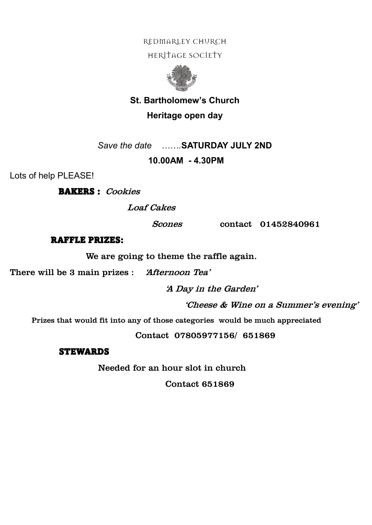#### REDMARLEY CHURCH

HERITAGE SOCIETY



#### **St. Bartholomew's Church Heritage open day**

*Save the date …….***SATURDAY JULY 2ND** 

#### **10.00AM - 4.30PM**

Lots of help PLEASE!

BAKERS : Cookies

Loaf Cakes

Scones contact 01452840961

#### RAFFLE PRIZES:

We are going to theme the raffle again.

There will be 3 main prizes : 'Afternoon Tea'

'A Day in the Garden'

'Cheese & Wine on a Summer's evening'

Prizes that would fit into any of those categories would be much appreciated

Contact 07805977156/ 651869

#### **STEWARDS**

Needed for an hour slot in church

Contact 651869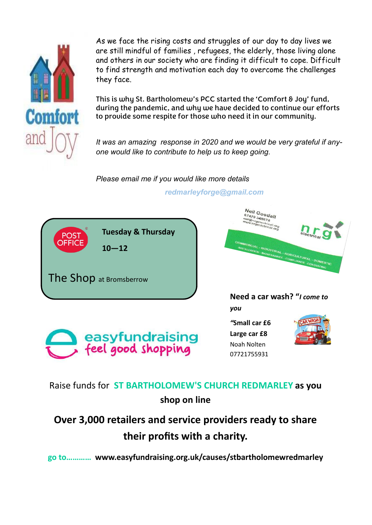

As we face the rising costs and struggles of our day to day lives we are still mindful of families , refugees, the elderly, those living alone and others in our society who are finding it difficult to cope. Difficult to find strength and motivation each day to overcome the challenges they face.

This is why St. Bartholomew's PCC started the 'Comfort & Joy' fund, during the pandemic, and why we have decided to continue our efforts to provide some respite for those who need it in our community.

*It was an amazing response in 2020 and we would be very grateful if anyone would like to contribute to help us to keep going.*

*Please email me if you would like more details*

#### *redmarleyforge@gmail.com*



### Raise funds for **ST BARTHOLOMEW'S CHURCH REDMARLEY as you shop on line**

## **Over 3,000 retailers and service providers ready to share their profits with a charity.**

**go to………… www.easyfundraising.org.uk/causes/stbartholomewredmarley**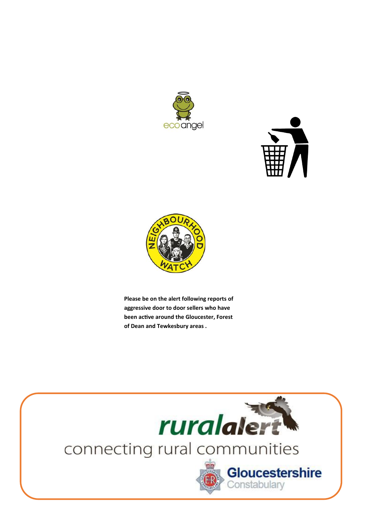





**Please be on the alert following reports of aggressive door to door sellers who have been active around the Gloucester, Forest of Dean and Tewkesbury areas .**